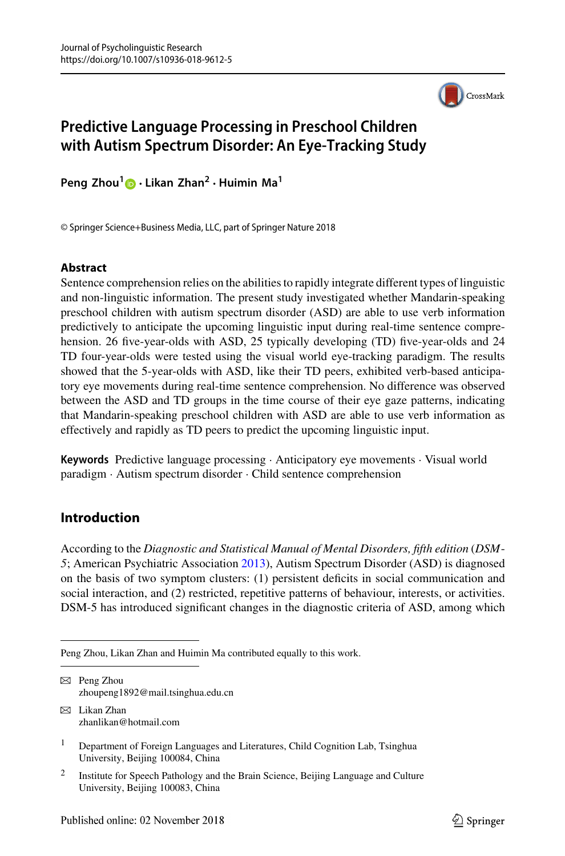

# **Predictive Language Processing in Preschool Children with Autism Spectrum Disorder: An Eye-Tracking Study**

**Peng Zhou[1](http://orcid.org/0000-0002-0818-2545) · Likan Zhan<sup>2</sup> · Huimin Ma1**

© Springer Science+Business Media, LLC, part of Springer Nature 2018

#### **Abstract**

Sentence comprehension relies on the abilities to rapidly integrate different types of linguistic and non-linguistic information. The present study investigated whether Mandarin-speaking preschool children with autism spectrum disorder (ASD) are able to use verb information predictively to anticipate the upcoming linguistic input during real-time sentence comprehension. 26 five-year-olds with ASD, 25 typically developing (TD) five-year-olds and 24 TD four-year-olds were tested using the visual world eye-tracking paradigm. The results showed that the 5-year-olds with ASD, like their TD peers, exhibited verb-based anticipatory eye movements during real-time sentence comprehension. No difference was observed between the ASD and TD groups in the time course of their eye gaze patterns, indicating that Mandarin-speaking preschool children with ASD are able to use verb information as effectively and rapidly as TD peers to predict the upcoming linguistic input.

**Keywords** Predictive language processing · Anticipatory eye movements · Visual world paradigm · Autism spectrum disorder · Child sentence comprehension

## **Introduction**

According to the *Diagnostic and Statistical Manual of Mental Disorders, fifth edition* (*DSM*-*5*; American Psychiatric Association [2013\)](#page-17-0), Autism Spectrum Disorder (ASD) is diagnosed on the basis of two symptom clusters: (1) persistent deficits in social communication and social interaction, and (2) restricted, repetitive patterns of behaviour, interests, or activities. DSM-5 has introduced significant changes in the diagnostic criteria of ASD, among which

- $\boxtimes$  Peng Zhou zhoupeng1892@mail.tsinghua.edu.cn
- $\boxtimes$  Likan Zhan zhanlikan@hotmail.com

<sup>2</sup> Institute for Speech Pathology and the Brain Science, Beijing Language and Culture University, Beijing 100083, China

Peng Zhou, Likan Zhan and Huimin Ma contributed equally to this work.

<sup>&</sup>lt;sup>1</sup> Department of Foreign Languages and Literatures, Child Cognition Lab, Tsinghua University, Beijing 100084, China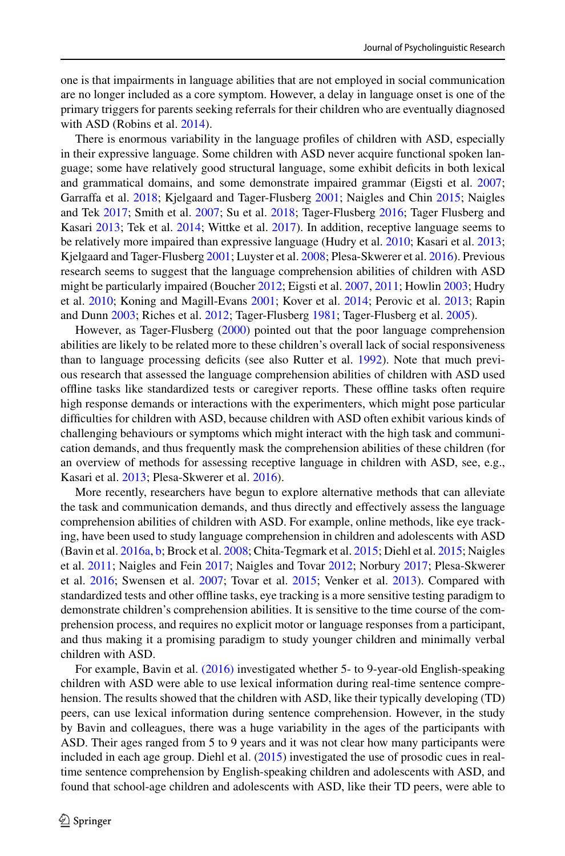one is that impairments in language abilities that are not employed in social communication are no longer included as a core symptom. However, a delay in language onset is one of the primary triggers for parents seeking referrals for their children who are eventually diagnosed with ASD (Robins et al. [2014\)](#page-20-0).

There is enormous variability in the language profiles of children with ASD, especially in their expressive language. Some children with ASD never acquire functional spoken language; some have relatively good structural language, some exhibit deficits in both lexical and grammatical domains, and some demonstrate impaired grammar (Eigsti et al. [2007;](#page-18-0) Garraffa et al. [2018;](#page-18-1) Kjelgaard and Tager-Flusberg [2001;](#page-19-0) Naigles and Chin [2015;](#page-19-1) Naigles and Tek [2017;](#page-20-1) Smith et al. [2007;](#page-20-2) Su et al. [2018;](#page-20-3) Tager-Flusberg [2016;](#page-20-4) Tager Flusberg and Kasari [2013;](#page-20-5) Tek et al. [2014;](#page-21-0) Wittke et al. [2017\)](#page-21-1). In addition, receptive language seems to be relatively more impaired than expressive language (Hudry et al. [2010;](#page-19-2) Kasari et al. [2013;](#page-19-3) Kjelgaard and Tager-Flusberg [2001;](#page-19-0) Luyster et al. [2008;](#page-19-4) Plesa-Skwerer et al. [2016\)](#page-20-6). Previous research seems to suggest that the language comprehension abilities of children with ASD might be particularly impaired (Boucher [2012;](#page-18-2) Eigsti et al. [2007,](#page-18-0) [2011;](#page-18-3) Howlin [2003;](#page-19-5) Hudry et al. [2010;](#page-19-2) Koning and Magill-Evans [2001;](#page-19-6) Kover et al. [2014;](#page-19-7) Perovic et al. [2013;](#page-20-7) Rapin and Dunn [2003;](#page-20-8) Riches et al. [2012;](#page-20-9) Tager-Flusberg [1981;](#page-20-10) Tager-Flusberg et al. [2005\)](#page-20-11).

However, as Tager-Flusberg [\(2000\)](#page-20-12) pointed out that the poor language comprehension abilities are likely to be related more to these children's overall lack of social responsiveness than to language processing deficits (see also Rutter et al. [1992\)](#page-20-13). Note that much previous research that assessed the language comprehension abilities of children with ASD used offline tasks like standardized tests or caregiver reports. These offline tasks often require high response demands or interactions with the experimenters, which might pose particular difficulties for children with ASD, because children with ASD often exhibit various kinds of challenging behaviours or symptoms which might interact with the high task and communication demands, and thus frequently mask the comprehension abilities of these children (for an overview of methods for assessing receptive language in children with ASD, see, e.g., Kasari et al. [2013;](#page-19-3) Plesa-Skwerer et al. [2016\)](#page-20-6).

More recently, researchers have begun to explore alternative methods that can alleviate the task and communication demands, and thus directly and effectively assess the language comprehension abilities of children with ASD. For example, online methods, like eye tracking, have been used to study language comprehension in children and adolescents with ASD (Bavin et al. [2016a,](#page-18-4) [b;](#page-18-5) Brock et al. [2008;](#page-18-6) Chita-Tegmark et al. [2015;](#page-18-7) Diehl et al. [2015;](#page-18-8) Naigles et al. [2011;](#page-19-8) Naigles and Fein [2017;](#page-19-9) Naigles and Tovar [2012;](#page-20-14) Norbury [2017;](#page-20-15) Plesa-Skwerer et al. [2016;](#page-20-6) Swensen et al. [2007;](#page-20-16) Tovar et al. [2015;](#page-21-2) Venker et al. [2013\)](#page-21-3). Compared with standardized tests and other offline tasks, eye tracking is a more sensitive testing paradigm to demonstrate children's comprehension abilities. It is sensitive to the time course of the comprehension process, and requires no explicit motor or language responses from a participant, and thus making it a promising paradigm to study younger children and minimally verbal children with ASD.

For example, Bavin et al. [\(2016\)](#page-18-4) investigated whether 5- to 9-year-old English-speaking children with ASD were able to use lexical information during real-time sentence comprehension. The results showed that the children with ASD, like their typically developing (TD) peers, can use lexical information during sentence comprehension. However, in the study by Bavin and colleagues, there was a huge variability in the ages of the participants with ASD. Their ages ranged from 5 to 9 years and it was not clear how many participants were included in each age group. Diehl et al. [\(2015\)](#page-18-8) investigated the use of prosodic cues in realtime sentence comprehension by English-speaking children and adolescents with ASD, and found that school-age children and adolescents with ASD, like their TD peers, were able to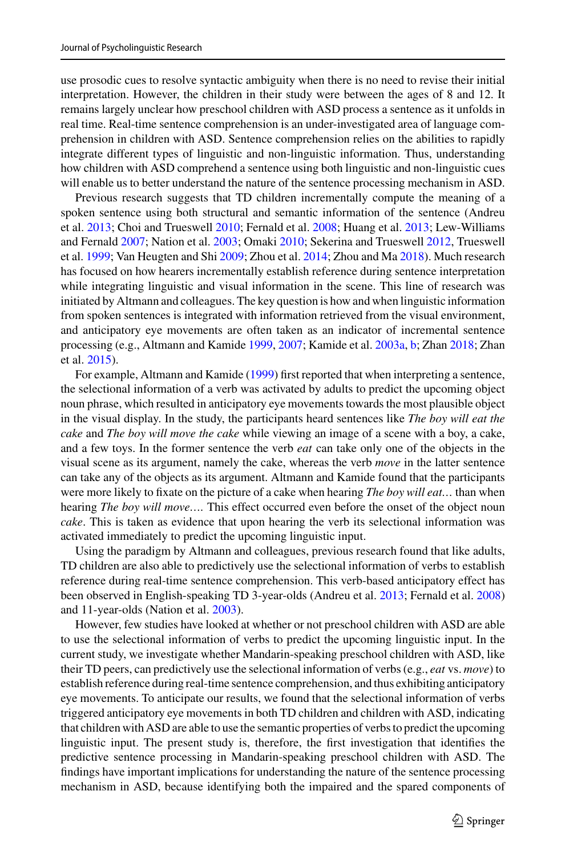use prosodic cues to resolve syntactic ambiguity when there is no need to revise their initial interpretation. However, the children in their study were between the ages of 8 and 12. It remains largely unclear how preschool children with ASD process a sentence as it unfolds in real time. Real-time sentence comprehension is an under-investigated area of language comprehension in children with ASD. Sentence comprehension relies on the abilities to rapidly integrate different types of linguistic and non-linguistic information. Thus, understanding how children with ASD comprehend a sentence using both linguistic and non-linguistic cues will enable us to better understand the nature of the sentence processing mechanism in ASD.

Previous research suggests that TD children incrementally compute the meaning of a spoken sentence using both structural and semantic information of the sentence (Andreu et al. [2013;](#page-17-1) Choi and Trueswell [2010;](#page-18-9) Fernald et al. [2008;](#page-18-10) Huang et al. [2013;](#page-19-10) Lew-Williams and Fernald [2007;](#page-19-11) Nation et al. [2003;](#page-20-17) Omaki [2010;](#page-20-18) Sekerina and Trueswell [2012,](#page-20-19) Trueswell et al. [1999;](#page-21-4) Van Heugten and Shi [2009;](#page-21-5) Zhou et al. [2014;](#page-21-6) Zhou and Ma [2018\)](#page-21-7). Much research has focused on how hearers incrementally establish reference during sentence interpretation while integrating linguistic and visual information in the scene. This line of research was initiated by Altmann and colleagues. The key question is how and when linguistic information from spoken sentences is integrated with information retrieved from the visual environment, and anticipatory eye movements are often taken as an indicator of incremental sentence processing (e.g., Altmann and Kamide [1999,](#page-17-2) [2007;](#page-17-3) Kamide et al. [2003a,](#page-19-12) [b;](#page-19-13) Zhan [2018;](#page-21-8) Zhan et al. [2015\)](#page-21-9).

For example, Altmann and Kamide [\(1999\)](#page-17-2) first reported that when interpreting a sentence, the selectional information of a verb was activated by adults to predict the upcoming object noun phrase, which resulted in anticipatory eye movements towards the most plausible object in the visual display. In the study, the participants heard sentences like *The boy will eat the cake* and *The boy will move the cake* while viewing an image of a scene with a boy, a cake, and a few toys. In the former sentence the verb *eat* can take only one of the objects in the visual scene as its argument, namely the cake, whereas the verb *move* in the latter sentence can take any of the objects as its argument. Altmann and Kamide found that the participants were more likely to fixate on the picture of a cake when hearing *The boy will eat…* than when hearing *The boy will move….* This effect occurred even before the onset of the object noun *cake*. This is taken as evidence that upon hearing the verb its selectional information was activated immediately to predict the upcoming linguistic input.

Using the paradigm by Altmann and colleagues, previous research found that like adults, TD children are also able to predictively use the selectional information of verbs to establish reference during real-time sentence comprehension. This verb-based anticipatory effect has been observed in English-speaking TD 3-year-olds (Andreu et al. [2013;](#page-17-1) Fernald et al. [2008\)](#page-18-10) and 11-year-olds (Nation et al. [2003\)](#page-20-17).

However, few studies have looked at whether or not preschool children with ASD are able to use the selectional information of verbs to predict the upcoming linguistic input. In the current study, we investigate whether Mandarin-speaking preschool children with ASD, like their TD peers, can predictively use the selectional information of verbs (e.g., *eat* vs. *move*) to establish reference during real-time sentence comprehension, and thus exhibiting anticipatory eye movements. To anticipate our results, we found that the selectional information of verbs triggered anticipatory eye movements in both TD children and children with ASD, indicating that children with ASD are able to use the semantic properties of verbs to predict the upcoming linguistic input. The present study is, therefore, the first investigation that identifies the predictive sentence processing in Mandarin-speaking preschool children with ASD. The findings have important implications for understanding the nature of the sentence processing mechanism in ASD, because identifying both the impaired and the spared components of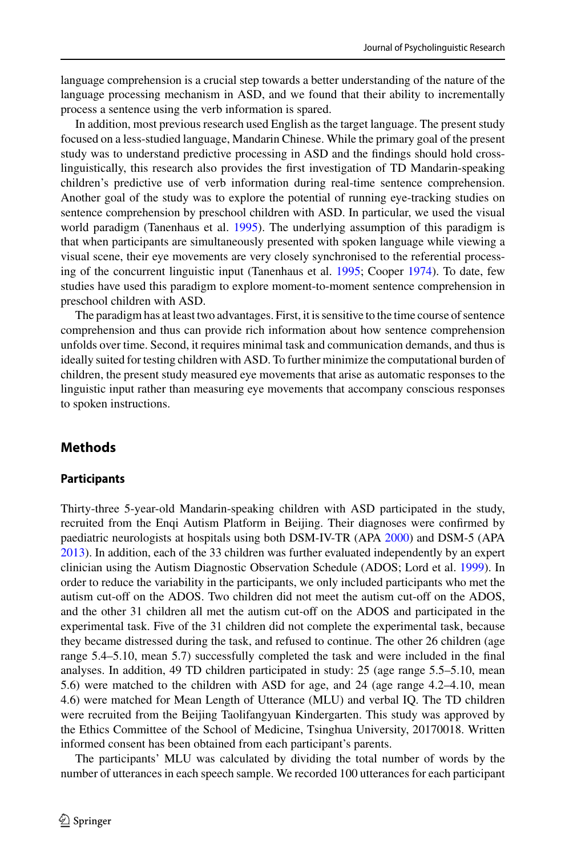language comprehension is a crucial step towards a better understanding of the nature of the language processing mechanism in ASD, and we found that their ability to incrementally process a sentence using the verb information is spared.

In addition, most previous research used English as the target language. The present study focused on a less-studied language, Mandarin Chinese. While the primary goal of the present study was to understand predictive processing in ASD and the findings should hold crosslinguistically, this research also provides the first investigation of TD Mandarin-speaking children's predictive use of verb information during real-time sentence comprehension. Another goal of the study was to explore the potential of running eye-tracking studies on sentence comprehension by preschool children with ASD. In particular, we used the visual world paradigm (Tanenhaus et al. [1995\)](#page-21-10). The underlying assumption of this paradigm is that when participants are simultaneously presented with spoken language while viewing a visual scene, their eye movements are very closely synchronised to the referential processing of the concurrent linguistic input (Tanenhaus et al. [1995;](#page-21-10) Cooper [1974\)](#page-18-11). To date, few studies have used this paradigm to explore moment-to-moment sentence comprehension in preschool children with ASD.

The paradigm has at least two advantages. First, it is sensitive to the time course of sentence comprehension and thus can provide rich information about how sentence comprehension unfolds over time. Second, it requires minimal task and communication demands, and thus is ideally suited for testing children with ASD. To further minimize the computational burden of children, the present study measured eye movements that arise as automatic responses to the linguistic input rather than measuring eye movements that accompany conscious responses to spoken instructions.

## **Methods**

### **Participants**

Thirty-three 5-year-old Mandarin-speaking children with ASD participated in the study, recruited from the Enqi Autism Platform in Beijing. Their diagnoses were confirmed by paediatric neurologists at hospitals using both DSM-IV-TR (APA [2000\)](#page-17-4) and DSM-5 (APA [2013\)](#page-17-0). In addition, each of the 33 children was further evaluated independently by an expert clinician using the Autism Diagnostic Observation Schedule (ADOS; Lord et al. [1999\)](#page-19-14). In order to reduce the variability in the participants, we only included participants who met the autism cut-off on the ADOS. Two children did not meet the autism cut-off on the ADOS, and the other 31 children all met the autism cut-off on the ADOS and participated in the experimental task. Five of the 31 children did not complete the experimental task, because they became distressed during the task, and refused to continue. The other 26 children (age range 5.4–5.10, mean 5.7) successfully completed the task and were included in the final analyses. In addition, 49 TD children participated in study: 25 (age range 5.5–5.10, mean 5.6) were matched to the children with ASD for age, and 24 (age range 4.2–4.10, mean 4.6) were matched for Mean Length of Utterance (MLU) and verbal IQ. The TD children were recruited from the Beijing Taolifangyuan Kindergarten. This study was approved by the Ethics Committee of the School of Medicine, Tsinghua University, 20170018. Written informed consent has been obtained from each participant's parents.

The participants' MLU was calculated by dividing the total number of words by the number of utterances in each speech sample. We recorded 100 utterances for each participant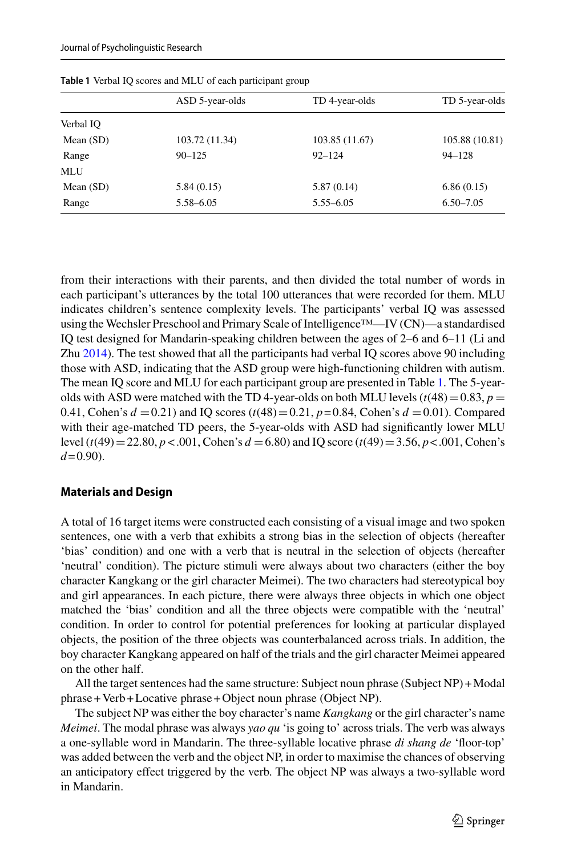<span id="page-4-0"></span>

|             | ASD 5-year-olds | TD 4-year-olds | TD 5-year-olds |
|-------------|-----------------|----------------|----------------|
| Verbal IO   |                 |                |                |
| Mean $(SD)$ | 103.72 (11.34)  | 103.85 (11.67) | 105.88 (10.81) |
| Range       | $90 - 125$      | $92 - 124$     | $94 - 128$     |
| <b>MLU</b>  |                 |                |                |
| Mean $(SD)$ | 5.84(0.15)      | 5.87(0.14)     | 6.86(0.15)     |
| Range       | 5.58-6.05       | $5.55 - 6.05$  | $6.50 - 7.05$  |

**Table 1** Verbal IQ scores and MLU of each participant group

from their interactions with their parents, and then divided the total number of words in each participant's utterances by the total 100 utterances that were recorded for them. MLU indicates children's sentence complexity levels. The participants' verbal IQ was assessed using the Wechsler Preschool and Primary Scale of Intelligence™—IV (CN)—a standardised IQ test designed for Mandarin-speaking children between the ages of 2–6 and 6–11 (Li and Zhu [2014\)](#page-19-15). The test showed that all the participants had verbal IQ scores above 90 including those with ASD, indicating that the ASD group were high-functioning children with autism. The mean IQ score and MLU for each participant group are presented in Table [1.](#page-4-0) The 5-yearolds with ASD were matched with the TD 4-year-olds on both MLU levels  $(t(48)=0.83, p=$ 0.41, Cohen's  $d = 0.21$ ) and IQ scores  $(t(48) = 0.21, p = 0.84, \text{Cohen's } d = 0.01)$ . Compared with their age-matched TD peers, the 5-year-olds with ASD had significantly lower MLU level (*t*(49)-22.80, *p* < .001, Cohen's *d* -6.80) and IQ score (*t*(49)-3.56, *p*< .001, Cohen's  $d = 0.90$ .

#### **Materials and Design**

A total of 16 target items were constructed each consisting of a visual image and two spoken sentences, one with a verb that exhibits a strong bias in the selection of objects (hereafter 'bias' condition) and one with a verb that is neutral in the selection of objects (hereafter 'neutral' condition). The picture stimuli were always about two characters (either the boy character Kangkang or the girl character Meimei). The two characters had stereotypical boy and girl appearances. In each picture, there were always three objects in which one object matched the 'bias' condition and all the three objects were compatible with the 'neutral' condition. In order to control for potential preferences for looking at particular displayed objects, the position of the three objects was counterbalanced across trials. In addition, the boy character Kangkang appeared on half of the trials and the girl character Meimei appeared on the other half.

All the target sentences had the same structure: Subject noun phrase (Subject NP) +Modal phrase + Verb + Locative phrase + Object noun phrase (Object NP).

The subject NP was either the boy character's name *Kangkang* or the girl character's name *Meimei*. The modal phrase was always *yao qu* 'is going to' across trials. The verb was always a one-syllable word in Mandarin. The three-syllable locative phrase *di shang de* 'floor-top' was added between the verb and the object NP, in order to maximise the chances of observing an anticipatory effect triggered by the verb. The object NP was always a two-syllable word in Mandarin.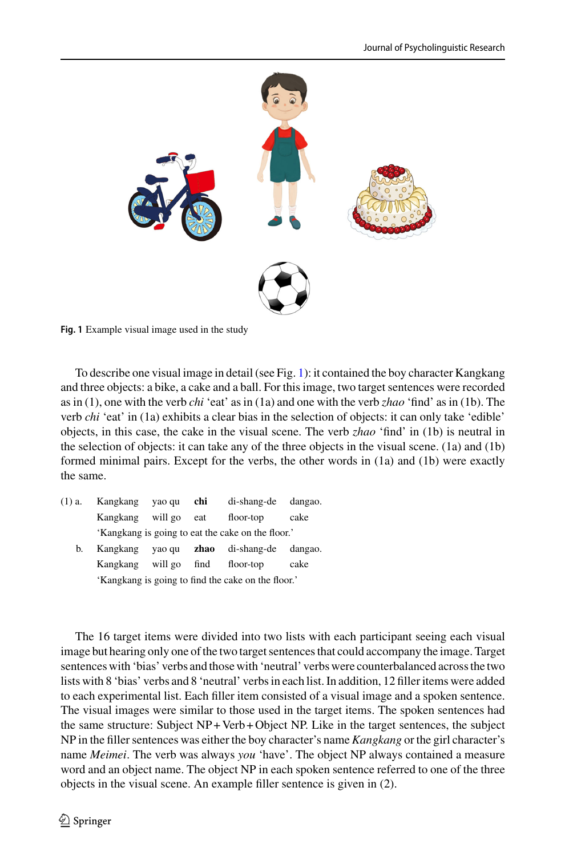

<span id="page-5-0"></span>**Fig. 1** Example visual image used in the study

To describe one visual image in detail (see Fig. [1\)](#page-5-0): it contained the boy character Kangkang and three objects: a bike, a cake and a ball. For this image, two target sentences were recorded as in (1), one with the verb *chi* 'eat' as in (1a) and one with the verb *zhao* 'find' as in (1b). The verb *chi* 'eat' in (1a) exhibits a clear bias in the selection of objects: it can only take 'edible' objects, in this case, the cake in the visual scene. The verb *zhao* 'find' in (1b) is neutral in the selection of objects: it can take any of the three objects in the visual scene. (1a) and (1b) formed minimal pairs. Except for the verbs, the other words in (1a) and (1b) were exactly the same.

| (1) a. | Kangkang yao qu                                    |              | chi  | di-shang-de | dangao. |  |
|--------|----------------------------------------------------|--------------|------|-------------|---------|--|
|        | Kangkang                                           | will go      | eat  | floor-top   | cake    |  |
|        | 'Kangkang is going to eat the cake on the floor.'  |              |      |             |         |  |
| b.     | Kangkang yao qu                                    |              | zhao | di-shang-de | dangao. |  |
|        | Kangkang                                           | will go find |      | floor-top   | cake    |  |
|        | 'Kangkang is going to find the cake on the floor.' |              |      |             |         |  |

The 16 target items were divided into two lists with each participant seeing each visual image but hearing only one of the two target sentences that could accompany the image. Target sentences with 'bias' verbs and those with 'neutral' verbs were counterbalanced across the two lists with 8 'bias' verbs and 8 'neutral' verbs in each list. In addition, 12 filler items were added to each experimental list. Each filler item consisted of a visual image and a spoken sentence. The visual images were similar to those used in the target items. The spoken sentences had the same structure: Subject NP + Verb + Object NP. Like in the target sentences, the subject NP in the filler sentences was either the boy character's name *Kangkang* or the girl character's name *Meimei*. The verb was always *you* 'have'. The object NP always contained a measure word and an object name. The object NP in each spoken sentence referred to one of the three objects in the visual scene. An example filler sentence is given in (2).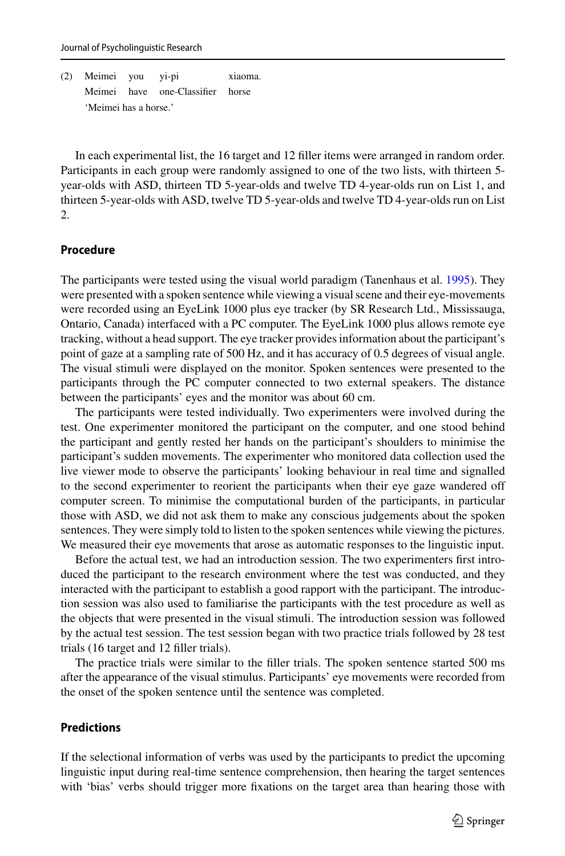(2) Meimei you yi-pi xiaoma. Meimei have one-Classifier horse 'Meimei has a horse.'

In each experimental list, the 16 target and 12 filler items were arranged in random order. Participants in each group were randomly assigned to one of the two lists, with thirteen 5 year-olds with ASD, thirteen TD 5-year-olds and twelve TD 4-year-olds run on List 1, and thirteen 5-year-olds with ASD, twelve TD 5-year-olds and twelve TD 4-year-olds run on List  $\mathcal{L}$ 

#### **Procedure**

The participants were tested using the visual world paradigm (Tanenhaus et al. [1995\)](#page-21-10). They were presented with a spoken sentence while viewing a visual scene and their eye-movements were recorded using an EyeLink 1000 plus eye tracker (by SR Research Ltd., Mississauga, Ontario, Canada) interfaced with a PC computer. The EyeLink 1000 plus allows remote eye tracking, without a head support. The eye tracker provides information about the participant's point of gaze at a sampling rate of 500 Hz, and it has accuracy of 0.5 degrees of visual angle. The visual stimuli were displayed on the monitor. Spoken sentences were presented to the participants through the PC computer connected to two external speakers. The distance between the participants' eyes and the monitor was about 60 cm.

The participants were tested individually. Two experimenters were involved during the test. One experimenter monitored the participant on the computer, and one stood behind the participant and gently rested her hands on the participant's shoulders to minimise the participant's sudden movements. The experimenter who monitored data collection used the live viewer mode to observe the participants' looking behaviour in real time and signalled to the second experimenter to reorient the participants when their eye gaze wandered off computer screen. To minimise the computational burden of the participants, in particular those with ASD, we did not ask them to make any conscious judgements about the spoken sentences. They were simply told to listen to the spoken sentences while viewing the pictures. We measured their eye movements that arose as automatic responses to the linguistic input.

Before the actual test, we had an introduction session. The two experimenters first introduced the participant to the research environment where the test was conducted, and they interacted with the participant to establish a good rapport with the participant. The introduction session was also used to familiarise the participants with the test procedure as well as the objects that were presented in the visual stimuli. The introduction session was followed by the actual test session. The test session began with two practice trials followed by 28 test trials (16 target and 12 filler trials).

The practice trials were similar to the filler trials. The spoken sentence started 500 ms after the appearance of the visual stimulus. Participants' eye movements were recorded from the onset of the spoken sentence until the sentence was completed.

#### **Predictions**

If the selectional information of verbs was used by the participants to predict the upcoming linguistic input during real-time sentence comprehension, then hearing the target sentences with 'bias' verbs should trigger more fixations on the target area than hearing those with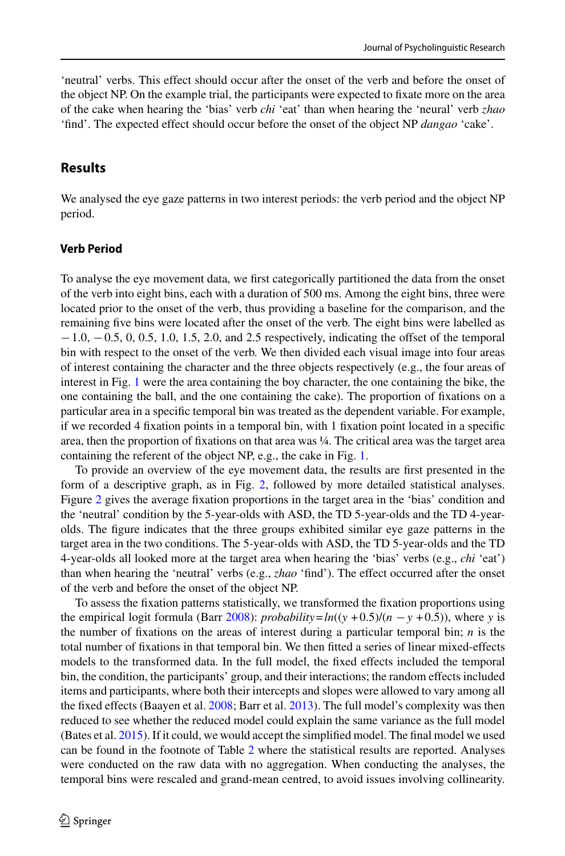'neutral' verbs. This effect should occur after the onset of the verb and before the onset of the object NP. On the example trial, the participants were expected to fixate more on the area of the cake when hearing the 'bias' verb *chi* 'eat' than when hearing the 'neural' verb *zhao* 'find'. The expected effect should occur before the onset of the object NP *dangao* 'cake'.

### **Results**

We analysed the eye gaze patterns in two interest periods: the verb period and the object NP period.

#### **Verb Period**

To analyse the eye movement data, we first categorically partitioned the data from the onset of the verb into eight bins, each with a duration of 500 ms. Among the eight bins, three were located prior to the onset of the verb, thus providing a baseline for the comparison, and the remaining five bins were located after the onset of the verb. The eight bins were labelled as −1.0, −0.5, 0, 0.5, 1.0, 1.5, 2.0, and 2.5 respectively, indicating the offset of the temporal bin with respect to the onset of the verb. We then divided each visual image into four areas of interest containing the character and the three objects respectively (e.g., the four areas of interest in Fig. [1](#page-5-0) were the area containing the boy character, the one containing the bike, the one containing the ball, and the one containing the cake). The proportion of fixations on a particular area in a specific temporal bin was treated as the dependent variable. For example, if we recorded 4 fixation points in a temporal bin, with 1 fixation point located in a specific area, then the proportion of fixations on that area was ¼. The critical area was the target area containing the referent of the object NP, e.g., the cake in Fig. [1.](#page-5-0)

To provide an overview of the eye movement data, the results are first presented in the form of a descriptive graph, as in Fig. [2,](#page-8-0) followed by more detailed statistical analyses. Figure [2](#page-8-0) gives the average fixation proportions in the target area in the 'bias' condition and the 'neutral' condition by the 5-year-olds with ASD, the TD 5-year-olds and the TD 4-yearolds. The figure indicates that the three groups exhibited similar eye gaze patterns in the target area in the two conditions. The 5-year-olds with ASD, the TD 5-year-olds and the TD 4-year-olds all looked more at the target area when hearing the 'bias' verbs (e.g., *chi* 'eat') than when hearing the 'neutral' verbs (e.g., *zhao* 'find'). The effect occurred after the onset of the verb and before the onset of the object NP.

To assess the fixation patterns statistically, we transformed the fixation proportions using the empirical logit formula (Barr [2008\)](#page-18-12): *probability*= $ln((y + 0.5)/(n - y + 0.5))$ , where *y* is the number of fixations on the areas of interest during a particular temporal bin; *n* is the total number of fixations in that temporal bin. We then fitted a series of linear mixed-effects models to the transformed data. In the full model, the fixed effects included the temporal bin, the condition, the participants' group, and their interactions; the random effects included items and participants, where both their intercepts and slopes were allowed to vary among all the fixed effects (Baayen et al. [2008;](#page-18-13) Barr et al. [2013\)](#page-18-14). The full model's complexity was then reduced to see whether the reduced model could explain the same variance as the full model (Bates et al. [2015\)](#page-18-15). If it could, we would accept the simplified model. The final model we used can be found in the footnote of Table [2](#page-9-0) where the statistical results are reported. Analyses were conducted on the raw data with no aggregation. When conducting the analyses, the temporal bins were rescaled and grand-mean centred, to avoid issues involving collinearity.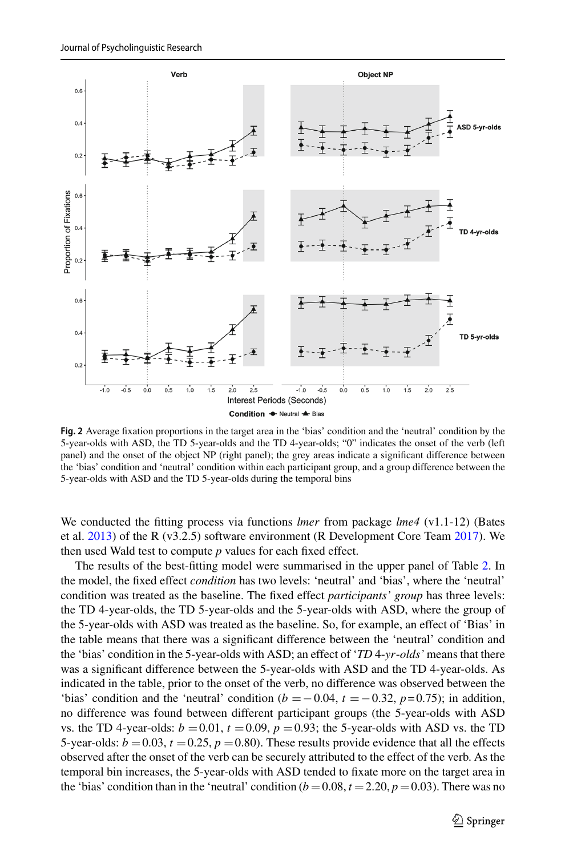

<span id="page-8-0"></span>**Fig. 2** Average fixation proportions in the target area in the 'bias' condition and the 'neutral' condition by the 5-year-olds with ASD, the TD 5-year-olds and the TD 4-year-olds; "0" indicates the onset of the verb (left panel) and the onset of the object NP (right panel); the grey areas indicate a significant difference between the 'bias' condition and 'neutral' condition within each participant group, and a group difference between the 5-year-olds with ASD and the TD 5-year-olds during the temporal bins

We conducted the fitting process via functions *lmer* from package *lme4* (v1.1-12) (Bates et al. [2013\)](#page-18-16) of the R (v3.2.5) software environment (R Development Core Team [2017\)](#page-20-20). We then used Wald test to compute *p* values for each fixed effect.

The results of the best-fitting model were summarised in the upper panel of Table [2.](#page-9-0) In the model, the fixed effect *condition* has two levels: 'neutral' and 'bias', where the 'neutral' condition was treated as the baseline. The fixed effect *participants' group* has three levels: the TD 4-year-olds, the TD 5-year-olds and the 5-year-olds with ASD, where the group of the 5-year-olds with ASD was treated as the baseline. So, for example, an effect of 'Bias' in the table means that there was a significant difference between the 'neutral' condition and the 'bias' condition in the 5-year-olds with ASD; an effect of '*TD* 4-*yr*-*olds'* means that there was a significant difference between the 5-year-olds with ASD and the TD 4-year-olds. As indicated in the table, prior to the onset of the verb, no difference was observed between the 'bias' condition and the 'neutral' condition ( $b = -0.04$ ,  $t = -0.32$ ,  $p = 0.75$ ); in addition, no difference was found between different participant groups (the 5-year-olds with ASD vs. the TD 4-year-olds:  $b = 0.01$ ,  $t = 0.09$ ,  $p = 0.93$ ; the 5-year-olds with ASD vs. the TD 5-year-olds:  $b = 0.03$ ,  $t = 0.25$ ,  $p = 0.80$ ). These results provide evidence that all the effects observed after the onset of the verb can be securely attributed to the effect of the verb. As the temporal bin increases, the 5-year-olds with ASD tended to fixate more on the target area in the 'bias' condition than in the 'neutral' condition  $(b = 0.08, t = 2.20, p = 0.03)$ . There was no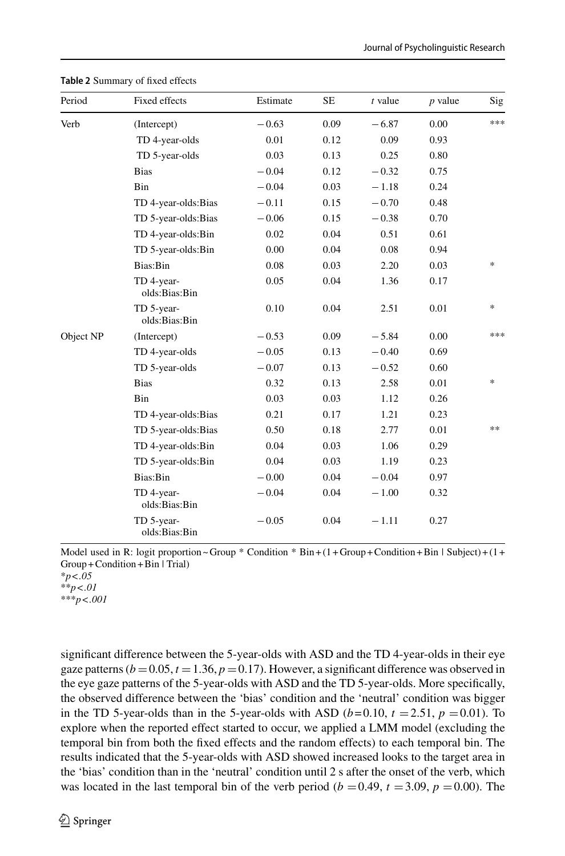<span id="page-9-0"></span>

| Period    | Fixed effects               | Estimate | <b>SE</b> | $t$ value | $p$ value | Sig    |
|-----------|-----------------------------|----------|-----------|-----------|-----------|--------|
| Verb      | (Intercept)                 | $-0.63$  | 0.09      | $-6.87$   | 0.00      | ***    |
|           | TD 4-year-olds              | 0.01     | 0.12      | 0.09      | 0.93      |        |
|           | TD 5-year-olds              | 0.03     | 0.13      | 0.25      | 0.80      |        |
|           | <b>Bias</b>                 | $-0.04$  | 0.12      | $-0.32$   | 0.75      |        |
|           | Bin                         | $-0.04$  | 0.03      | $-1.18$   | 0.24      |        |
|           | TD 4-year-olds: Bias        | $-0.11$  | 0.15      | $-0.70$   | 0.48      |        |
|           | TD 5-year-olds:Bias         | $-0.06$  | 0.15      | $-0.38$   | 0.70      |        |
|           | TD 4-year-olds:Bin          | 0.02     | 0.04      | 0.51      | 0.61      |        |
|           | TD 5-year-olds:Bin          | 0.00     | 0.04      | 0.08      | 0.94      |        |
|           | Bias:Bin                    | 0.08     | 0.03      | 2.20      | 0.03      | $\ast$ |
|           | TD 4-year-<br>olds:Bias:Bin | 0.05     | 0.04      | 1.36      | 0.17      |        |
|           | TD 5-year-<br>olds:Bias:Bin | 0.10     | 0.04      | 2.51      | 0.01      | $\ast$ |
| Object NP | (Intercept)                 | $-0.53$  | 0.09      | $-5.84$   | 0.00      | ***    |
|           | TD 4-year-olds              | $-0.05$  | 0.13      | $-0.40$   | 0.69      |        |
|           | TD 5-year-olds              | $-0.07$  | 0.13      | $-0.52$   | 0.60      |        |
|           | <b>Bias</b>                 | 0.32     | 0.13      | 2.58      | 0.01      | $\ast$ |
|           | Bin                         | 0.03     | 0.03      | 1.12      | 0.26      |        |
|           | TD 4-year-olds:Bias         | 0.21     | 0.17      | 1.21      | 0.23      |        |
|           | TD 5-year-olds:Bias         | 0.50     | 0.18      | 2.77      | 0.01      | **     |
|           | TD 4-year-olds:Bin          | 0.04     | 0.03      | 1.06      | 0.29      |        |
|           | TD 5-year-olds:Bin          | 0.04     | 0.03      | 1.19      | 0.23      |        |
|           | Bias:Bin                    | $-0.00$  | 0.04      | $-0.04$   | 0.97      |        |
|           | TD 4-year-<br>olds:Bias:Bin | $-0.04$  | 0.04      | $-1.00$   | 0.32      |        |
|           | TD 5-year-<br>olds:Bias:Bin | $-0.05$  | 0.04      | $-1.11$   | 0.27      |        |

**Table 2** Summary of fixed effects

Model used in R: logit proportion ~ Group \* Condition \* Bin +  $(1 +$  Group + Condition + Bin | Subject) +  $(1 +$ Group +Condition +Bin | Trial)

\**p*<*.05* \*\**p*<*.01*

\*\*\**p*<*.001*

significant difference between the 5-year-olds with ASD and the TD 4-year-olds in their eye gaze patterns  $(b = 0.05, t = 1.36, p = 0.17)$ . However, a significant difference was observed in the eye gaze patterns of the 5-year-olds with ASD and the TD 5-year-olds. More specifically, the observed difference between the 'bias' condition and the 'neutral' condition was bigger in the TD 5-year-olds than in the 5-year-olds with ASD  $(b=0.10, t = 2.51, p = 0.01)$ . To explore when the reported effect started to occur, we applied a LMM model (excluding the temporal bin from both the fixed effects and the random effects) to each temporal bin. The results indicated that the 5-year-olds with ASD showed increased looks to the target area in the 'bias' condition than in the 'neutral' condition until 2 s after the onset of the verb, which was located in the last temporal bin of the verb period ( $b = 0.49$ ,  $t = 3.09$ ,  $p = 0.00$ ). The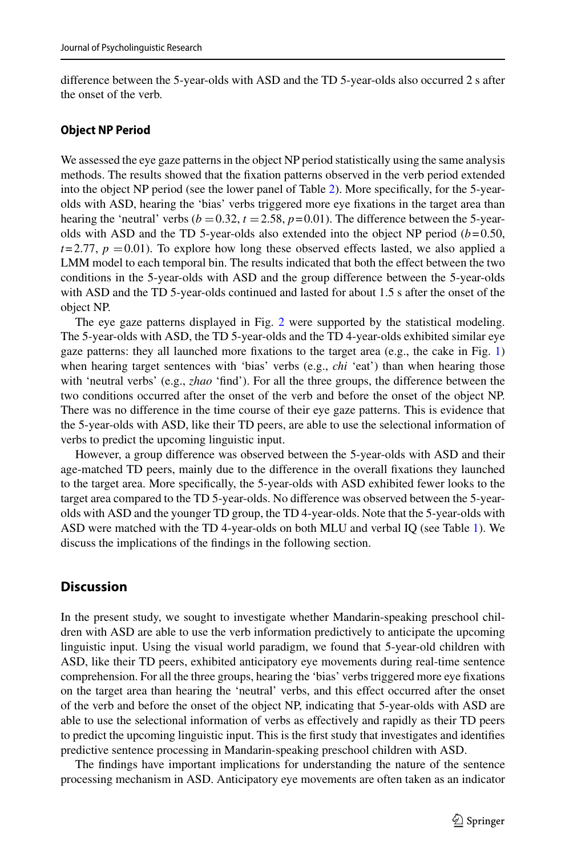difference between the 5-year-olds with ASD and the TD 5-year-olds also occurred 2 s after the onset of the verb.

#### **Object NP Period**

We assessed the eye gaze patterns in the object NP period statistically using the same analysis methods. The results showed that the fixation patterns observed in the verb period extended into the object NP period (see the lower panel of Table [2\)](#page-9-0). More specifically, for the 5-yearolds with ASD, hearing the 'bias' verbs triggered more eye fixations in the target area than hearing the 'neutral' verbs  $(b = 0.32, t = 2.58, p = 0.01)$ . The difference between the 5-yearolds with ASD and the TD 5-year-olds also extended into the object NP period  $(b=0.50,$  $t = 2.77$ ,  $p = 0.01$ ). To explore how long these observed effects lasted, we also applied a LMM model to each temporal bin. The results indicated that both the effect between the two conditions in the 5-year-olds with ASD and the group difference between the 5-year-olds with ASD and the TD 5-year-olds continued and lasted for about 1.5 s after the onset of the object NP.

The eye gaze patterns displayed in Fig. [2](#page-8-0) were supported by the statistical modeling. The 5-year-olds with ASD, the TD 5-year-olds and the TD 4-year-olds exhibited similar eye gaze patterns: they all launched more fixations to the target area  $(e.g., the cake in Fig. 1)$  $(e.g., the cake in Fig. 1)$ when hearing target sentences with 'bias' verbs (e.g., *chi* 'eat') than when hearing those with 'neutral verbs' (e.g., *zhao* 'find'). For all the three groups, the difference between the two conditions occurred after the onset of the verb and before the onset of the object NP. There was no difference in the time course of their eye gaze patterns. This is evidence that the 5-year-olds with ASD, like their TD peers, are able to use the selectional information of verbs to predict the upcoming linguistic input.

However, a group difference was observed between the 5-year-olds with ASD and their age-matched TD peers, mainly due to the difference in the overall fixations they launched to the target area. More specifically, the 5-year-olds with ASD exhibited fewer looks to the target area compared to the TD 5-year-olds. No difference was observed between the 5-yearolds with ASD and the younger TD group, the TD 4-year-olds. Note that the 5-year-olds with ASD were matched with the TD 4-year-olds on both MLU and verbal IQ (see Table [1\)](#page-4-0). We discuss the implications of the findings in the following section.

### **Discussion**

In the present study, we sought to investigate whether Mandarin-speaking preschool children with ASD are able to use the verb information predictively to anticipate the upcoming linguistic input. Using the visual world paradigm, we found that 5-year-old children with ASD, like their TD peers, exhibited anticipatory eye movements during real-time sentence comprehension. For all the three groups, hearing the 'bias' verbs triggered more eye fixations on the target area than hearing the 'neutral' verbs, and this effect occurred after the onset of the verb and before the onset of the object NP, indicating that 5-year-olds with ASD are able to use the selectional information of verbs as effectively and rapidly as their TD peers to predict the upcoming linguistic input. This is the first study that investigates and identifies predictive sentence processing in Mandarin-speaking preschool children with ASD.

The findings have important implications for understanding the nature of the sentence processing mechanism in ASD. Anticipatory eye movements are often taken as an indicator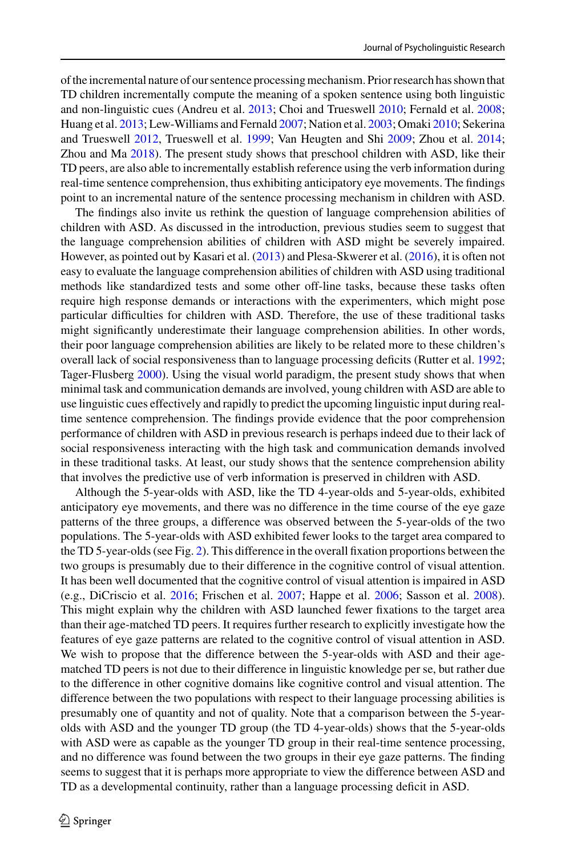of the incremental nature of our sentence processing mechanism. Prior research has shown that TD children incrementally compute the meaning of a spoken sentence using both linguistic and non-linguistic cues (Andreu et al. [2013;](#page-17-1) Choi and Trueswell [2010;](#page-18-9) Fernald et al. [2008;](#page-18-10) Huang et al. [2013;](#page-19-10) Lew-Williams and Fernald [2007;](#page-19-11) Nation et al. [2003;](#page-20-17) Omaki [2010;](#page-20-18) Sekerina and Trueswell [2012,](#page-20-19) Trueswell et al. [1999;](#page-21-4) Van Heugten and Shi [2009;](#page-21-5) Zhou et al. [2014;](#page-21-6) Zhou and Ma [2018\)](#page-21-7). The present study shows that preschool children with ASD, like their TD peers, are also able to incrementally establish reference using the verb information during real-time sentence comprehension, thus exhibiting anticipatory eye movements. The findings point to an incremental nature of the sentence processing mechanism in children with ASD.

The findings also invite us rethink the question of language comprehension abilities of children with ASD. As discussed in the introduction, previous studies seem to suggest that the language comprehension abilities of children with ASD might be severely impaired. However, as pointed out by Kasari et al. [\(2013\)](#page-19-3) and Plesa-Skwerer et al. [\(2016\)](#page-20-6), it is often not easy to evaluate the language comprehension abilities of children with ASD using traditional methods like standardized tests and some other off-line tasks, because these tasks often require high response demands or interactions with the experimenters, which might pose particular difficulties for children with ASD. Therefore, the use of these traditional tasks might significantly underestimate their language comprehension abilities. In other words, their poor language comprehension abilities are likely to be related more to these children's overall lack of social responsiveness than to language processing deficits (Rutter et al. [1992;](#page-20-13) Tager-Flusberg [2000\)](#page-20-12). Using the visual world paradigm, the present study shows that when minimal task and communication demands are involved, young children with ASD are able to use linguistic cues effectively and rapidly to predict the upcoming linguistic input during realtime sentence comprehension. The findings provide evidence that the poor comprehension performance of children with ASD in previous research is perhaps indeed due to their lack of social responsiveness interacting with the high task and communication demands involved in these traditional tasks. At least, our study shows that the sentence comprehension ability that involves the predictive use of verb information is preserved in children with ASD.

Although the 5-year-olds with ASD, like the TD 4-year-olds and 5-year-olds, exhibited anticipatory eye movements, and there was no difference in the time course of the eye gaze patterns of the three groups, a difference was observed between the 5-year-olds of the two populations. The 5-year-olds with ASD exhibited fewer looks to the target area compared to the TD 5-year-olds (see Fig. [2\)](#page-8-0). This difference in the overall fixation proportions between the two groups is presumably due to their difference in the cognitive control of visual attention. It has been well documented that the cognitive control of visual attention is impaired in ASD (e.g., DiCriscio et al. [2016;](#page-18-17) Frischen et al. [2007;](#page-18-18) Happe et al. [2006;](#page-19-16) Sasson et al. [2008\)](#page-20-21). This might explain why the children with ASD launched fewer fixations to the target area than their age-matched TD peers. It requires further research to explicitly investigate how the features of eye gaze patterns are related to the cognitive control of visual attention in ASD. We wish to propose that the difference between the 5-year-olds with ASD and their agematched TD peers is not due to their difference in linguistic knowledge per se, but rather due to the difference in other cognitive domains like cognitive control and visual attention. The difference between the two populations with respect to their language processing abilities is presumably one of quantity and not of quality. Note that a comparison between the 5-yearolds with ASD and the younger TD group (the TD 4-year-olds) shows that the 5-year-olds with ASD were as capable as the younger TD group in their real-time sentence processing, and no difference was found between the two groups in their eye gaze patterns. The finding seems to suggest that it is perhaps more appropriate to view the difference between ASD and TD as a developmental continuity, rather than a language processing deficit in ASD.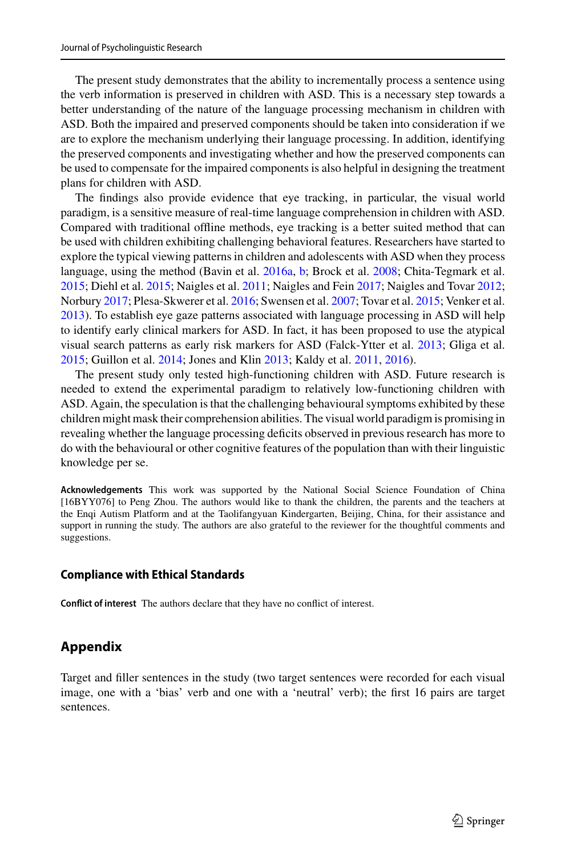The present study demonstrates that the ability to incrementally process a sentence using the verb information is preserved in children with ASD. This is a necessary step towards a better understanding of the nature of the language processing mechanism in children with ASD. Both the impaired and preserved components should be taken into consideration if we are to explore the mechanism underlying their language processing. In addition, identifying the preserved components and investigating whether and how the preserved components can be used to compensate for the impaired components is also helpful in designing the treatment plans for children with ASD.

The findings also provide evidence that eye tracking, in particular, the visual world paradigm, is a sensitive measure of real-time language comprehension in children with ASD. Compared with traditional offline methods, eye tracking is a better suited method that can be used with children exhibiting challenging behavioral features. Researchers have started to explore the typical viewing patterns in children and adolescents with ASD when they process language, using the method (Bavin et al. [2016a,](#page-18-4) [b;](#page-18-5) Brock et al. [2008;](#page-18-6) Chita-Tegmark et al. [2015;](#page-18-7) Diehl et al. [2015;](#page-18-8) Naigles et al. [2011;](#page-19-8) Naigles and Fein [2017;](#page-19-9) Naigles and Tovar [2012;](#page-20-14) Norbury [2017;](#page-20-15) Plesa-Skwerer et al. [2016;](#page-20-6) Swensen et al. [2007;](#page-20-16) Tovar et al. [2015;](#page-21-2) Venker et al. [2013\)](#page-21-3). To establish eye gaze patterns associated with language processing in ASD will help to identify early clinical markers for ASD. In fact, it has been proposed to use the atypical visual search patterns as early risk markers for ASD (Falck-Ytter et al. [2013;](#page-18-19) Gliga et al. [2015;](#page-18-20) Guillon et al. [2014;](#page-19-17) Jones and Klin [2013;](#page-19-18) Kaldy et al. [2011,](#page-19-19) [2016\)](#page-19-20).

The present study only tested high-functioning children with ASD. Future research is needed to extend the experimental paradigm to relatively low-functioning children with ASD. Again, the speculation is that the challenging behavioural symptoms exhibited by these children might mask their comprehension abilities. The visual world paradigm is promising in revealing whether the language processing deficits observed in previous research has more to do with the behavioural or other cognitive features of the population than with their linguistic knowledge per se.

**Acknowledgements** This work was supported by the National Social Science Foundation of China [16BYY076] to Peng Zhou. The authors would like to thank the children, the parents and the teachers at the Enqi Autism Platform and at the Taolifangyuan Kindergarten, Beijing, China, for their assistance and support in running the study. The authors are also grateful to the reviewer for the thoughtful comments and suggestions.

#### **Compliance with Ethical Standards**

**Conflict of interest** The authors declare that they have no conflict of interest.

## **Appendix**

Target and filler sentences in the study (two target sentences were recorded for each visual image, one with a 'bias' verb and one with a 'neutral' verb); the first 16 pairs are target sentences.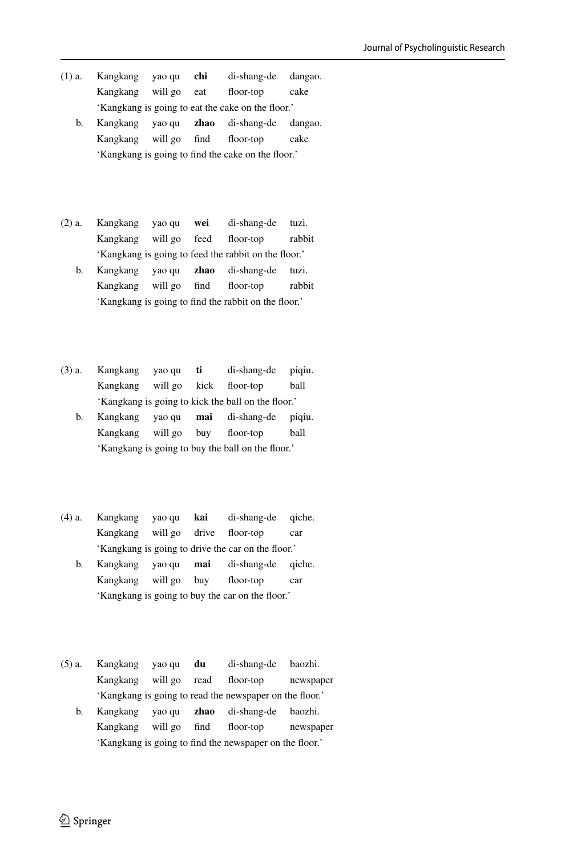- (1) a. Kangkang yao qu **chi** di-shang-de dangao. Kangkang will go eat floor-top cake 'Kangkang is going to eat the cake on the floor.'
	- b. Kangkang yao qu **zhao** di-shang-de dangao. Kangkang will go find floor-top cake 'Kangkang is going to find the cake on the floor.'
- (2) a. Kangkang yao qu **wei** di-shang-de tuzi. Kangkang will go feed floor-top rabbit 'Kangkang is going to feed the rabbit on the floor.'
	- b. Kangkang yao qu **zhao** di-shang-de tuzi. Kangkang will go find floor-top rabbit 'Kangkang is going to find the rabbit on the floor.'
- (3) a. Kangkang yao qu **ti** di-shang-de piqiu. Kangkang will go kick floor-top ball 'Kangkang is going to kick the ball on the floor.'
	- b. Kangkang yao qu **mai** di-shang-de piqiu. Kangkang will go buy floor-top ball 'Kangkang is going to buy the ball on the floor.'
- (4) a. Kangkang yao qu **kai** di-shang-de qiche. Kangkang will go drive floor-top car 'Kangkang is going to drive the car on the floor.'
	- b. Kangkang yao qu **mai** di-shang-de qiche. Kangkang will go buy floor-top car 'Kangkang is going to buy the car on the floor.'
- (5) a. Kangkang yao qu **du** di-shang-de baozhi. Kangkang will go read floor-top newspaper 'Kangkang is going to read the newspaper on the floor.'
	- b. Kangkang yao qu **zhao** di-shang-de baozhi. Kangkang will go find floor-top newspaper 'Kangkang is going to find the newspaper on the floor.'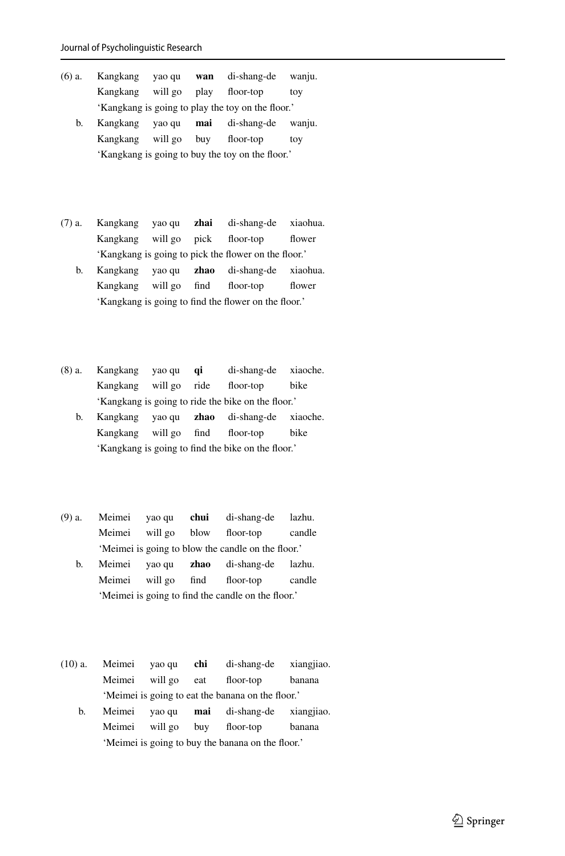| (6) a. | Kangkang                        | yao qu | wan | di-shang-de                                       | wanju. |
|--------|---------------------------------|--------|-----|---------------------------------------------------|--------|
|        | Kangkang will go play floor-top |        |     |                                                   | tov    |
|        |                                 |        |     | 'Kangkang is going to play the toy on the floor.' |        |
|        |                                 |        |     |                                                   |        |

- b. Kangkang yao qu **mai** di-shang-de wanju. Kangkang will go buy floor-top toy 'Kangkang is going to buy the toy on the floor.'
- (7) a. Kangkang yao qu **zhai** di-shang-de xiaohua. Kangkang will go pick floor-top flower 'Kangkang is going to pick the flower on the floor.'
	- b. Kangkang yao qu **zhao** di-shang-de xiaohua. Kangkang will go find floor-top flower 'Kangkang is going to find the flower on the floor.'
- (8) a. Kangkang yao qu **qi** di-shang-de xiaoche. Kangkang will go ride floor-top bike 'Kangkang is going to ride the bike on the floor.'
	- b. Kangkang yao qu **zhao** di-shang-de xiaoche. Kangkang will go find floor-top bike 'Kangkang is going to find the bike on the floor.'
- (9) a. Meimei yao qu **chui** di-shang-de lazhu. Meimei will go blow floor-top candle 'Meimei is going to blow the candle on the floor.'
	- b. Meimei yao qu **zhao** di-shang-de lazhu. Meimei will go find floor-top candle 'Meimei is going to find the candle on the floor.'
- (10) a. Meimei yao qu **chi** di-shang-de xiangjiao. Meimei will go eat floor-top banana 'Meimei is going to eat the banana on the floor.'
	- b. Meimei yao qu **mai** di-shang-de xiangjiao. Meimei will go buy floor-top banana 'Meimei is going to buy the banana on the floor.'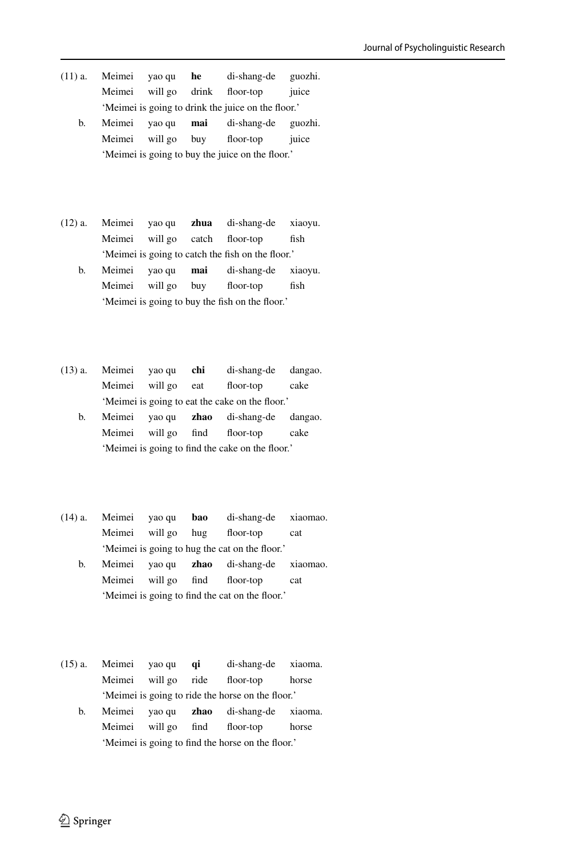- (11) a. Meimei yao qu **he** di-shang-de guozhi. Meimei will go drink floor-top juice 'Meimei is going to drink the juice on the floor.'
	- b. Meimei yao qu **mai** di-shang-de guozhi. Meimei will go buy floor-top juice 'Meimei is going to buy the juice on the floor.'
- (12) a. Meimei yao qu **zhua** di-shang-de xiaoyu. Meimei will go catch floor-top fish 'Meimei is going to catch the fish on the floor.'
	- b. Meimei yao qu **mai** di-shang-de xiaoyu. Meimei will go buy floor-top fish 'Meimei is going to buy the fish on the floor.'
- (13) a. Meimei yao qu **chi** di-shang-de dangao. Meimei will go eat floor-top cake 'Meimei is going to eat the cake on the floor.'
	- b. Meimei yao qu **zhao** di-shang-de dangao. Meimei will go find floor-top cake 'Meimei is going to find the cake on the floor.'
- (14) a. Meimei yao qu **bao** di-shang-de xiaomao. Meimei will go hug floor-top cat 'Meimei is going to hug the cat on the floor.'
	- b. Meimei yao qu **zhao** di-shang-de xiaomao. Meimei will go find floor-top cat 'Meimei is going to find the cat on the floor.'
- (15) a. Meimei yao qu **qi** di-shang-de xiaoma. Meimei will go ride floor-top horse 'Meimei is going to ride the horse on the floor.'
	- b. Meimei yao qu **zhao** di-shang-de xiaoma. Meimei will go find floor-top horse 'Meimei is going to find the horse on the floor.'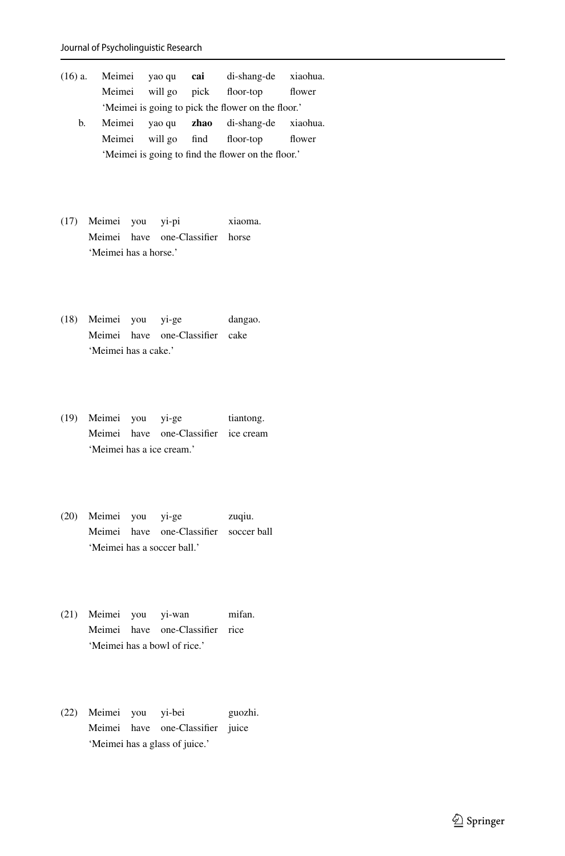| (16) a.                                            | Meimei yao queique <b>cai</b>                      |  |  | di-shang-de xiaohua.                    |        |  |
|----------------------------------------------------|----------------------------------------------------|--|--|-----------------------------------------|--------|--|
|                                                    | Meimei                                             |  |  | will go pick floor-top                  | flower |  |
|                                                    | 'Meimei is going to pick the flower on the floor.' |  |  |                                         |        |  |
| b.                                                 | Meimei                                             |  |  | yao qu <b>zhao</b> di-shang-de xiaohua. |        |  |
|                                                    | Meimei                                             |  |  | will go find floor-top                  | flower |  |
| 'Meimei is going to find the flower on the floor.' |                                                    |  |  |                                         |        |  |

- (17) Meimei you yi-pi xiaoma. Meimei have one-Classifier horse 'Meimei has a horse.'
- (18) Meimei you yi-ge dangao. Meimei have one-Classifier cake 'Meimei has a cake.'
- (19) Meimei you yi-ge tiantong. Meimei have one-Classifier ice cream 'Meimei has a ice cream.'
- (20) Meimei you yi-ge zuqiu. Meimei have one-Classifier soccer ball 'Meimei has a soccer ball.'
- (21) Meimei you yi-wan mifan. Meimei have one-Classifier rice 'Meimei has a bowl of rice.'
- (22) Meimei you yi-bei guozhi. Meimei have one-Classifier juice 'Meimei has a glass of juice.'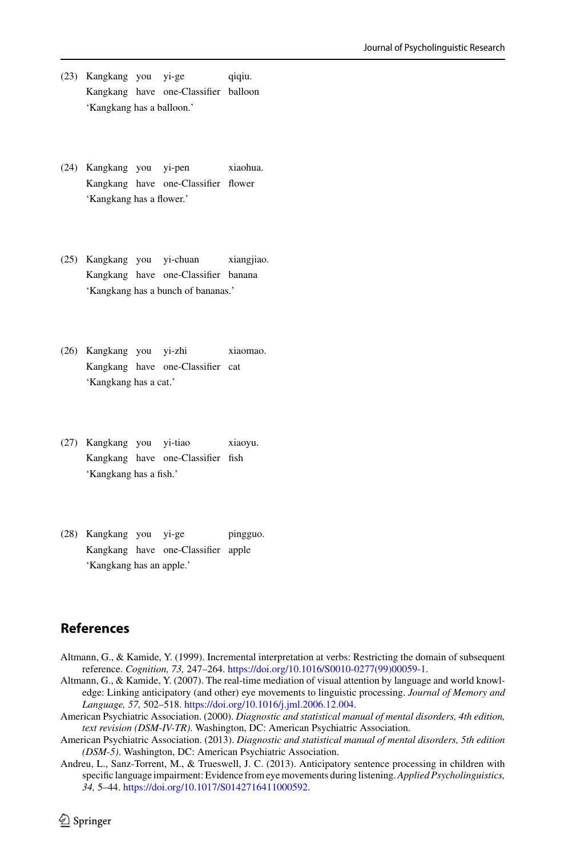- (23) Kangkang you yi-ge qiqiu. Kangkang have one-Classifier balloon 'Kangkang has a balloon.'
- (24) Kangkang you yi-pen xiaohua. Kangkang have one-Classifier flower 'Kangkang has a flower.'
- (25) Kangkang you yi-chuan xiangjiao. Kangkang have one-Classifier banana 'Kangkang has a bunch of bananas.'
- (26) Kangkang you yi-zhi xiaomao. Kangkang have one-Classifier cat 'Kangkang has a cat.'
- (27) Kangkang you yi-tiao xiaoyu. Kangkang have one-Classifier fish 'Kangkang has a fish.'
- (28) Kangkang you yi-ge pingguo. Kangkang have one-Classifier apple 'Kangkang has an apple.'

## **References**

- <span id="page-17-2"></span>Altmann, G., & Kamide, Y. (1999). Incremental interpretation at verbs: Restricting the domain of subsequent reference. *Cognition, 73,* 247–264. [https://doi.org/10.1016/S0010-0277\(99\)00059-1.](https://doi.org/10.1016/S0010-0277(99)00059-1)
- <span id="page-17-3"></span>Altmann, G., & Kamide, Y. (2007). The real-time mediation of visual attention by language and world knowledge: Linking anticipatory (and other) eye movements to linguistic processing. *Journal of Memory and Language, 57,* 502–518. [https://doi.org/10.1016/j.jml.2006.12.004.](https://doi.org/10.1016/j.jml.2006.12.004)
- <span id="page-17-4"></span>American Psychiatric Association. (2000). *Diagnostic and statistical manual of mental disorders, 4th edition, text revision (DSM-IV-TR)*. Washington, DC: American Psychiatric Association.
- <span id="page-17-0"></span>American Psychiatric Association. (2013). *Diagnostic and statistical manual of mental disorders, 5th edition (DSM-5)*. Washington, DC: American Psychiatric Association.
- <span id="page-17-1"></span>Andreu, L., Sanz-Torrent, M., & Trueswell, J. C. (2013). Anticipatory sentence processing in children with specific language impairment: Evidence from eye movements during listening.*Applied Psycholinguistics, 34,* 5–44. [https://doi.org/10.1017/S0142716411000592.](https://doi.org/10.1017/S0142716411000592)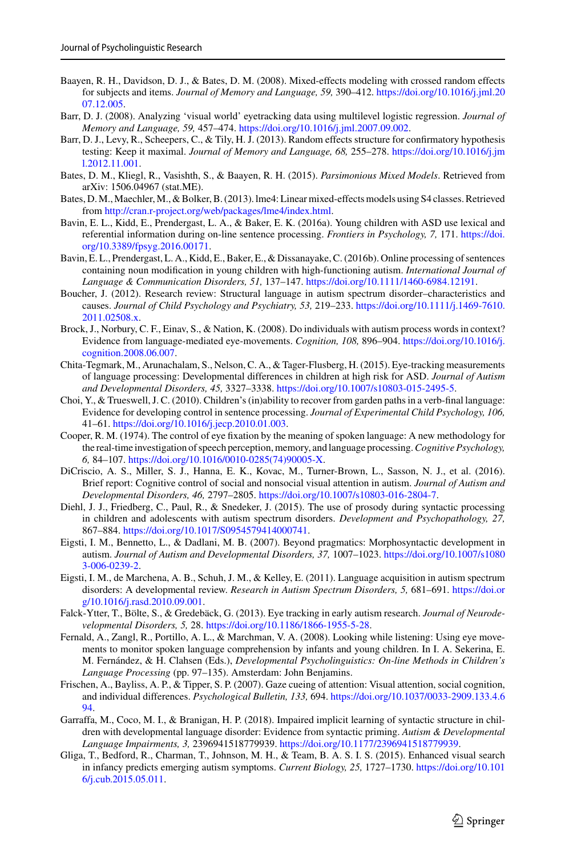- <span id="page-18-13"></span>Baayen, R. H., Davidson, D. J., & Bates, D. M. (2008). Mixed-effects modeling with crossed random effects for subjects and items. *[Journal of Memory and Language, 59,](https://doi.org/10.1016/j.jml.2007.12.005)* 390–412. https://doi.org/10.1016/j.jml.20 07.12.005.
- <span id="page-18-12"></span>Barr, D. J. (2008). Analyzing 'visual world' eyetracking data using multilevel logistic regression. *Journal of Memory and Language, 59,* 457–474. [https://doi.org/10.1016/j.jml.2007.09.002.](https://doi.org/10.1016/j.jml.2007.09.002)
- <span id="page-18-14"></span>Barr, D. J., Levy, R., Scheepers, C., & Tily, H. J. (2013). Random effects structure for confirmatory hypothesis testing: Keep it maximal. *[Journal of Memory and Language, 68,](https://doi.org/10.1016/j.jml.2012.11.001)* 255–278. https://doi.org/10.1016/j.jm l.2012.11.001.
- <span id="page-18-15"></span>Bates, D. M., Kliegl, R., Vasishth, S., & Baayen, R. H. (2015). *Parsimonious Mixed Models*. Retrieved from arXiv: 1506.04967 (stat.ME).
- <span id="page-18-16"></span>Bates, D.M.,Maechler,M., & Bolker, B. (2013). lme4: Linear mixed-effects models using S4 classes. Retrieved from [http://cran.r-project.org/web/packages/lme4/index.html.](http://cran.r-project.org/web/packages/lme4/index.html)
- <span id="page-18-4"></span>Bavin, E. L., Kidd, E., Prendergast, L. A., & Baker, E. K. (2016a). Young children with ASD use lexical and [referential information during on-line sentence processing.](https://doi.org/10.3389/fpsyg.2016.00171) *Frontiers in Psychology, 7,* 171. https://doi. org/10.3389/fpsyg.2016.00171.
- <span id="page-18-5"></span>Bavin, E. L., Prendergast, L. A., Kidd, E., Baker, E., & Dissanayake, C. (2016b). Online processing of sentences containing noun modification in young children with high-functioning autism. *International Journal of Language & Communication Disorders, 51,* 137–147. [https://doi.org/10.1111/1460-6984.12191.](https://doi.org/10.1111/1460-6984.12191)
- <span id="page-18-2"></span>Boucher, J. (2012). Research review: Structural language in autism spectrum disorder–characteristics and causes. *[Journal of Child Psychology and Psychiatry, 53,](https://doi.org/10.1111/j.1469-7610.2011.02508.x)* 219–233. https://doi.org/10.1111/j.1469-7610. 2011.02508.x.
- <span id="page-18-6"></span>Brock, J., Norbury, C. F., Einav, S., & Nation, K. (2008). Do individuals with autism process words in context? [Evidence from language-mediated eye-movements.](https://doi.org/10.1016/j.cognition.2008.06.007) *Cognition, 108,* 896–904. https://doi.org/10.1016/j. cognition.2008.06.007.
- <span id="page-18-7"></span>Chita-Tegmark, M., Arunachalam, S., Nelson, C. A., & Tager-Flusberg, H. (2015). Eye-tracking measurements of language processing: Developmental differences in children at high risk for ASD. *Journal of Autism and Developmental Disorders, 45,* 3327–3338. [https://doi.org/10.1007/s10803-015-2495-5.](https://doi.org/10.1007/s10803-015-2495-5)
- <span id="page-18-9"></span>Choi, Y., & Trueswell, J. C. (2010). Children's (in)ability to recover from garden paths in a verb-final language: Evidence for developing control in sentence processing. *Journal of Experimental Child Psychology, 106,* 41–61. [https://doi.org/10.1016/j.jecp.2010.01.003.](https://doi.org/10.1016/j.jecp.2010.01.003)
- <span id="page-18-11"></span>Cooper, R. M. (1974). The control of eye fixation by the meaning of spoken language: A new methodology for the real-time investigation of speech perception, memory, and language processing.*Cognitive Psychology, 6,* 84–107. [https://doi.org/10.1016/0010-0285\(74\)90005-X.](https://doi.org/10.1016/0010-0285(74)90005-X)
- <span id="page-18-17"></span>DiCriscio, A. S., Miller, S. J., Hanna, E. K., Kovac, M., Turner-Brown, L., Sasson, N. J., et al. (2016). Brief report: Cognitive control of social and nonsocial visual attention in autism. *Journal of Autism and Developmental Disorders, 46,* 2797–2805. [https://doi.org/10.1007/s10803-016-2804-7.](https://doi.org/10.1007/s10803-016-2804-7)
- <span id="page-18-8"></span>Diehl, J. J., Friedberg, C., Paul, R., & Snedeker, J. (2015). The use of prosody during syntactic processing in children and adolescents with autism spectrum disorders. *Development and Psychopathology, 27,* 867–884. [https://doi.org/10.1017/S0954579414000741.](https://doi.org/10.1017/S0954579414000741)
- <span id="page-18-0"></span>Eigsti, I. M., Bennetto, L., & Dadlani, M. B. (2007). Beyond pragmatics: Morphosyntactic development in autism. *[Journal of Autism and Developmental Disorders, 37,](https://doi.org/10.1007/s10803-006-0239-2)* 1007–1023. https://doi.org/10.1007/s1080 3-006-0239-2.
- <span id="page-18-3"></span>Eigsti, I. M., de Marchena, A. B., Schuh, J. M., & Kelley, E. (2011). Language acquisition in autism spectrum disorders: A developmental review. *[Research in Autism Spectrum Disorders, 5,](https://doi.org/10.1016/j.rasd.2010.09.001)* 681–691. https://doi.or g/10.1016/j.rasd.2010.09.001.
- <span id="page-18-19"></span>Falck-Ytter, T., Bölte, S., & Gredebäck, G. (2013). Eye tracking in early autism research. *Journal of Neurodevelopmental Disorders, 5,* 28. [https://doi.org/10.1186/1866-1955-5-28.](https://doi.org/10.1186/1866-1955-5-28)
- <span id="page-18-10"></span>Fernald, A., Zangl, R., Portillo, A. L., & Marchman, V. A. (2008). Looking while listening: Using eye movements to monitor spoken language comprehension by infants and young children. In I. A. Sekerina, E. M. Fernández, & H. Clahsen (Eds.), *Developmental Psycholinguistics: On-line Methods in Children's Language Processing* (pp. 97–135). Amsterdam: John Benjamins.
- <span id="page-18-18"></span>Frischen, A., Bayliss, A. P., & Tipper, S. P. (2007). Gaze cueing of attention: Visual attention, social cognition, and individual differences. *Psychological Bulletin, 133,* 694. [https://doi.org/10.1037/0033-2909.133.4.6](https://doi.org/10.1037/0033-2909.133.4.694) 94.
- <span id="page-18-1"></span>Garraffa, M., Coco, M. I., & Branigan, H. P. (2018). Impaired implicit learning of syntactic structure in children with developmental language disorder: Evidence from syntactic priming. *Autism & Developmental Language Impairments, 3,* 2396941518779939. [https://doi.org/10.1177/2396941518779939.](https://doi.org/10.1177/2396941518779939)
- <span id="page-18-20"></span>Gliga, T., Bedford, R., Charman, T., Johnson, M. H., & Team, B. A. S. I. S. (2015). Enhanced visual search [in infancy predicts emerging autism symptoms.](https://doi.org/10.1016/j.cub.2015.05.011) *Current Biology, 25,* 1727–1730. https://doi.org/10.101 6/j.cub.2015.05.011.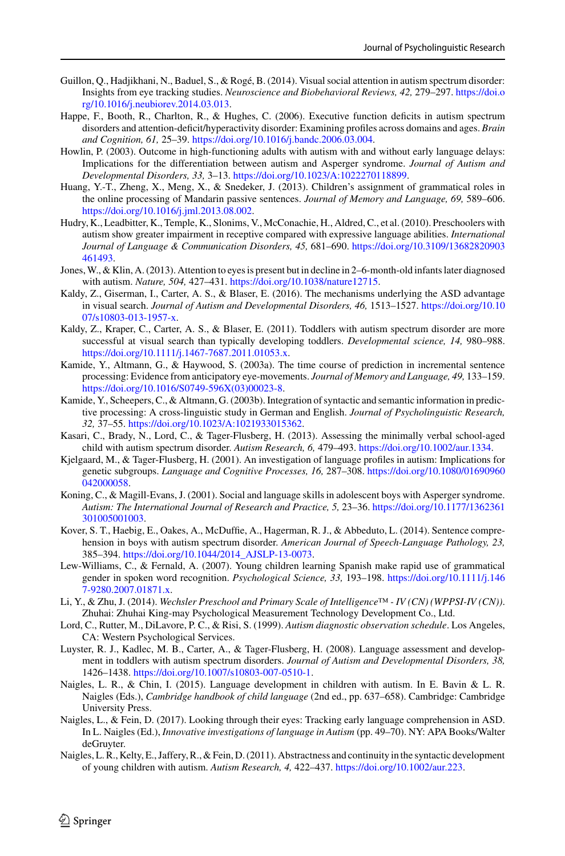- <span id="page-19-17"></span>Guillon, Q., Hadjikhani, N., Baduel, S., & Rogé, B. (2014). Visual social attention in autism spectrum disorder: Insights from eye tracking studies. *[Neuroscience and Biobehavioral Reviews, 42,](https://doi.org/10.1016/j.neubiorev.2014.03.013)* 279–297. https://doi.o rg/10.1016/j.neubiorev.2014.03.013.
- <span id="page-19-16"></span>Happe, F., Booth, R., Charlton, R., & Hughes, C. (2006). Executive function deficits in autism spectrum disorders and attention-deficit/hyperactivity disorder: Examining profiles across domains and ages. *Brain and Cognition, 61,* 25–39. [https://doi.org/10.1016/j.bandc.2006.03.004.](https://doi.org/10.1016/j.bandc.2006.03.004)
- <span id="page-19-5"></span>Howlin, P. (2003). Outcome in high-functioning adults with autism with and without early language delays: Implications for the differentiation between autism and Asperger syndrome. *Journal of Autism and Developmental Disorders, 33,* 3–13. [https://doi.org/10.1023/A:1022270118899.](https://doi.org/10.1023/A:1022270118899)
- <span id="page-19-10"></span>Huang, Y.-T., Zheng, X., Meng, X., & Snedeker, J. (2013). Children's assignment of grammatical roles in the online processing of Mandarin passive sentences. *Journal of Memory and Language, 69,* 589–606. [https://doi.org/10.1016/j.jml.2013.08.002.](https://doi.org/10.1016/j.jml.2013.08.002)
- <span id="page-19-2"></span>Hudry, K., Leadbitter, K., Temple, K., Slonims, V., McConachie, H., Aldred, C., et al. (2010). Preschoolers with autism show greater impairment in receptive compared with expressive language abilities. *International [Journal of Language & Communication Disorders, 45,](https://doi.org/10.3109/13682820903461493)* 681–690. https://doi.org/10.3109/13682820903 461493.
- <span id="page-19-18"></span>Jones,W., & Klin, A. (2013). Attention to eyes is present but in decline in 2–6-month-old infants later diagnosed with autism. *Nature, 504,* 427–431. [https://doi.org/10.1038/nature12715.](https://doi.org/10.1038/nature12715)
- <span id="page-19-20"></span>Kaldy, Z., Giserman, I., Carter, A. S., & Blaser, E. (2016). The mechanisms underlying the ASD advantage in visual search. *[Journal of Autism and Developmental Disorders, 46,](https://doi.org/10.1007/s10803-013-1957-x)* 1513–1527. https://doi.org/10.10 07/s10803-013-1957-x.
- <span id="page-19-19"></span>Kaldy, Z., Kraper, C., Carter, A. S., & Blaser, E. (2011). Toddlers with autism spectrum disorder are more successful at visual search than typically developing toddlers. *Developmental science, 14,* 980–988. [https://doi.org/10.1111/j.1467-7687.2011.01053.x.](https://doi.org/10.1111/j.1467-7687.2011.01053.x)
- <span id="page-19-12"></span>Kamide, Y., Altmann, G., & Haywood, S. (2003a). The time course of prediction in incremental sentence processing: Evidence from anticipatory eye-movements. *Journal of Memory and Language, 49,* 133–159. [https://doi.org/10.1016/S0749-596X\(03\)00023-8.](https://doi.org/10.1016/S0749-596X(03)00023-8)
- <span id="page-19-13"></span>Kamide, Y., Scheepers, C., & Altmann, G. (2003b). Integration of syntactic and semantic information in predictive processing: A cross-linguistic study in German and English. *Journal of Psycholinguistic Research, 32,* 37–55. [https://doi.org/10.1023/A:1021933015362.](https://doi.org/10.1023/A:1021933015362)
- <span id="page-19-3"></span>Kasari, C., Brady, N., Lord, C., & Tager-Flusberg, H. (2013). Assessing the minimally verbal school-aged child with autism spectrum disorder. *Autism Research, 6,* 479–493. [https://doi.org/10.1002/aur.1334.](https://doi.org/10.1002/aur.1334)
- <span id="page-19-0"></span>Kjelgaard, M., & Tager-Flusberg, H. (2001). An investigation of language profiles in autism: Implications for genetic subgroups. *[Language and Cognitive Processes, 16,](https://doi.org/10.1080/01690960042000058)* 287–308. https://doi.org/10.1080/01690960 042000058.
- <span id="page-19-6"></span>Koning, C., & Magill-Evans, J. (2001). Social and language skills in adolescent boys with Asperger syndrome. *[Autism: The International Journal of Research and Practice, 5,](https://doi.org/10.1177/1362361301005001003)* 23–36. https://doi.org/10.1177/1362361 301005001003.
- <span id="page-19-7"></span>Kover, S. T., Haebig, E., Oakes, A., McDuffie, A., Hagerman, R. J., & Abbeduto, L. (2014). Sentence comprehension in boys with autism spectrum disorder. *American Journal of Speech-Language Pathology, 23,* 385–394. [https://doi.org/10.1044/2014\\_AJSLP-13-0073.](https://doi.org/10.1044/2014_AJSLP-13-0073)
- <span id="page-19-11"></span>Lew-Williams, C., & Fernald, A. (2007). Young children learning Spanish make rapid use of grammatical [gender in spoken word recognition.](https://doi.org/10.1111/j.1467-9280.2007.01871.x) *Psychological Science, 33,* 193–198. https://doi.org/10.1111/j.146 7-9280.2007.01871.x.
- <span id="page-19-15"></span>Li, Y., & Zhu, J. (2014). *Wechsler Preschool and Primary Scale of Intelligence™ - IV (CN) (WPPSI-IV (CN))*. Zhuhai: Zhuhai King-may Psychological Measurement Technology Development Co., Ltd.
- <span id="page-19-14"></span>Lord, C., Rutter, M., DiLavore, P. C., & Risi, S. (1999). *Autism diagnostic observation schedule*. Los Angeles, CA: Western Psychological Services.
- <span id="page-19-4"></span>Luyster, R. J., Kadlec, M. B., Carter, A., & Tager-Flusberg, H. (2008). Language assessment and development in toddlers with autism spectrum disorders. *Journal of Autism and Developmental Disorders, 38,* 1426–1438. [https://doi.org/10.1007/s10803-007-0510-1.](https://doi.org/10.1007/s10803-007-0510-1)
- <span id="page-19-1"></span>Naigles, L. R., & Chin, I. (2015). Language development in children with autism. In E. Bavin & L. R. Naigles (Eds.), *Cambridge handbook of child language* (2nd ed., pp. 637–658). Cambridge: Cambridge University Press.
- <span id="page-19-9"></span>Naigles, L., & Fein, D. (2017). Looking through their eyes: Tracking early language comprehension in ASD. In L. Naigles (Ed.), *Innovative investigations of language in Autism* (pp. 49–70). NY: APA Books/Walter deGruyter.
- <span id="page-19-8"></span>Naigles, L. R., Kelty, E., Jaffery, R., & Fein, D. (2011). Abstractness and continuity in the syntactic development of young children with autism. *Autism Research, 4,* 422–437. [https://doi.org/10.1002/aur.223.](https://doi.org/10.1002/aur.223)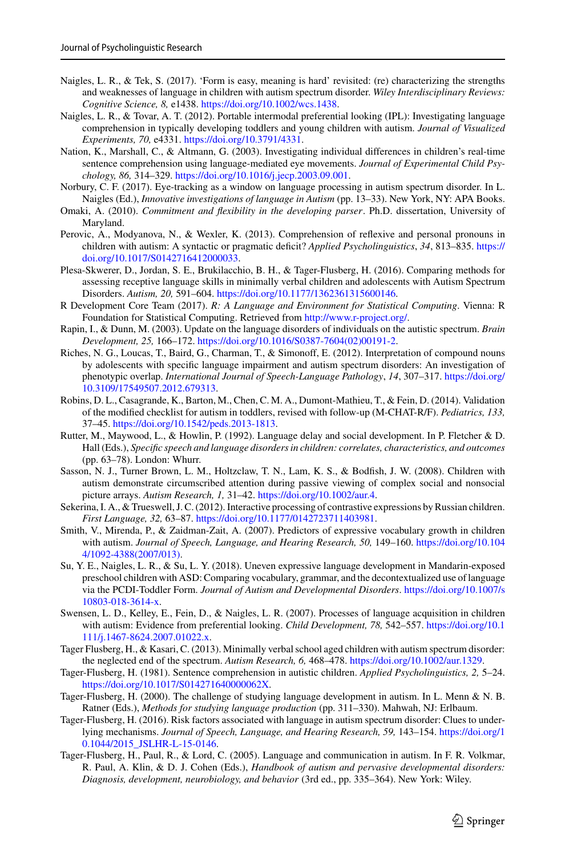- <span id="page-20-1"></span>Naigles, L. R., & Tek, S. (2017). 'Form is easy, meaning is hard' revisited: (re) characterizing the strengths and weaknesses of language in children with autism spectrum disorder. *Wiley Interdisciplinary Reviews: Cognitive Science, 8,* e1438. [https://doi.org/10.1002/wcs.1438.](https://doi.org/10.1002/wcs.1438)
- <span id="page-20-14"></span>Naigles, L. R., & Tovar, A. T. (2012). Portable intermodal preferential looking (IPL): Investigating language comprehension in typically developing toddlers and young children with autism. *Journal of Visualized Experiments, 70,* e4331. [https://doi.org/10.3791/4331.](https://doi.org/10.3791/4331)
- <span id="page-20-17"></span>Nation, K., Marshall, C., & Altmann, G. (2003). Investigating individual differences in children's real-time sentence comprehension using language-mediated eye movements. *Journal of Experimental Child Psychology, 86,* 314–329. [https://doi.org/10.1016/j.jecp.2003.09.001.](https://doi.org/10.1016/j.jecp.2003.09.001)
- <span id="page-20-15"></span>Norbury, C. F. (2017). Eye-tracking as a window on language processing in autism spectrum disorder. In L. Naigles (Ed.), *Innovative investigations of language in Autism* (pp. 13–33). New York, NY: APA Books.
- <span id="page-20-18"></span>Omaki, A. (2010). *Commitment and flexibility in the developing parser*. Ph.D. dissertation, University of Maryland.
- <span id="page-20-7"></span>Perovic, A., Modyanova, N., & Wexler, K. (2013). Comprehension of reflexive and personal pronouns in [children with autism: A syntactic or pragmatic deficit?](https://doi.org/10.1017/S0142716412000033) *Applied Psycholinguistics*, *34*, 813–835. https:// doi.org/10.1017/S0142716412000033.
- <span id="page-20-6"></span>Plesa-Skwerer, D., Jordan, S. E., Brukilacchio, B. H., & Tager-Flusberg, H. (2016). Comparing methods for assessing receptive language skills in minimally verbal children and adolescents with Autism Spectrum Disorders. *Autism, 20,* 591–604. [https://doi.org/10.1177/1362361315600146.](https://doi.org/10.1177/1362361315600146)
- <span id="page-20-20"></span>R Development Core Team (2017). *R: A Language and Environment for Statistical Computing*. Vienna: R Foundation for Statistical Computing. Retrieved from [http://www.r-project.org/.](http://www.r-project.org/)
- <span id="page-20-8"></span>Rapin, I., & Dunn, M. (2003). Update on the language disorders of individuals on the autistic spectrum. *Brain Development, 25,* 166–172. [https://doi.org/10.1016/S0387-7604\(02\)00191-2.](https://doi.org/10.1016/S0387-7604(02)00191-2)
- <span id="page-20-9"></span>Riches, N. G., Loucas, T., Baird, G., Charman, T., & Simonoff, E. (2012). Interpretation of compound nouns by adolescents with specific language impairment and autism spectrum disorders: An investigation of phenotypic overlap. *[International Journal of Speech-Language Pathology](https://doi.org/10.3109/17549507.2012.679313)*, *14*, 307–317. https://doi.org/ 10.3109/17549507.2012.679313.
- <span id="page-20-0"></span>Robins, D. L., Casagrande, K., Barton, M., Chen, C. M. A., Dumont-Mathieu, T., & Fein, D. (2014). Validation of the modified checklist for autism in toddlers, revised with follow-up (M-CHAT-R/F). *Pediatrics, 133,* 37–45. [https://doi.org/10.1542/peds.2013-1813.](https://doi.org/10.1542/peds.2013-1813)
- <span id="page-20-13"></span>Rutter, M., Maywood, L., & Howlin, P. (1992). Language delay and social development. In P. Fletcher & D. Hall (Eds.), *Specific speech and language disorders in children: correlates, characteristics, and outcomes* (pp. 63–78). London: Whurr.
- <span id="page-20-21"></span>Sasson, N. J., Turner Brown, L. M., Holtzclaw, T. N., Lam, K. S., & Bodfish, J. W. (2008). Children with autism demonstrate circumscribed attention during passive viewing of complex social and nonsocial picture arrays. *Autism Research, 1,* 31–42. [https://doi.org/10.1002/aur.4.](https://doi.org/10.1002/aur.4)
- <span id="page-20-19"></span>Sekerina, I. A., & Trueswell, J. C. (2012). Interactive processing of contrastive expressions by Russian children. *First Language, 32,* 63–87. [https://doi.org/10.1177/0142723711403981.](https://doi.org/10.1177/0142723711403981)
- <span id="page-20-2"></span>Smith, V., Mirenda, P., & Zaidman-Zait, A. (2007). Predictors of expressive vocabulary growth in children with autism. *[Journal of Speech, Language, and Hearing Research, 50,](https://doi.org/10.1044/1092-4388(2007/013))* 149–160. https://doi.org/10.104 4/1092-4388(2007/013).
- <span id="page-20-3"></span>Su, Y. E., Naigles, L. R., & Su, L. Y. (2018). Uneven expressive language development in Mandarin-exposed preschool children with ASD: Comparing vocabulary, grammar, and the decontextualized use of language via the PCDI-Toddler Form. *[Journal of Autism and Developmental Disorders](https://doi.org/10.1007/s10803-018-3614-x)*. https://doi.org/10.1007/s 10803-018-3614-x.
- <span id="page-20-16"></span>Swensen, L. D., Kelley, E., Fein, D., & Naigles, L. R. (2007). Processes of language acquisition in children [with autism: Evidence from preferential looking.](https://doi.org/10.1111/j.1467-8624.2007.01022.x) *Child Development, 78,* 542–557. https://doi.org/10.1 111/j.1467-8624.2007.01022.x.
- <span id="page-20-5"></span>Tager Flusberg, H., & Kasari, C. (2013). Minimally verbal school aged children with autism spectrum disorder: the neglected end of the spectrum. *Autism Research, 6,* 468–478. [https://doi.org/10.1002/aur.1329.](https://doi.org/10.1002/aur.1329)
- <span id="page-20-10"></span>Tager-Flusberg, H. (1981). Sentence comprehension in autistic children. *Applied Psycholinguistics, 2,* 5–24. [https://doi.org/10.1017/S014271640000062X.](https://doi.org/10.1017/S014271640000062X)
- <span id="page-20-12"></span>Tager-Flusberg, H. (2000). The challenge of studying language development in autism. In L. Menn & N. B. Ratner (Eds.), *Methods for studying language production* (pp. 311–330). Mahwah, NJ: Erlbaum.
- <span id="page-20-4"></span>Tager-Flusberg, H. (2016). Risk factors associated with language in autism spectrum disorder: Clues to underlying mechanisms. *[Journal of Speech, Language, and Hearing Research, 59,](https://doi.org/10.1044/2015_JSLHR-L-15-0146)* 143–154. https://doi.org/1 0.1044/2015\_JSLHR-L-15-0146.
- <span id="page-20-11"></span>Tager-Flusberg, H., Paul, R., & Lord, C. (2005). Language and communication in autism. In F. R. Volkmar, R. Paul, A. Klin, & D. J. Cohen (Eds.), *Handbook of autism and pervasive developmental disorders: Diagnosis, development, neurobiology, and behavior* (3rd ed., pp. 335–364). New York: Wiley.